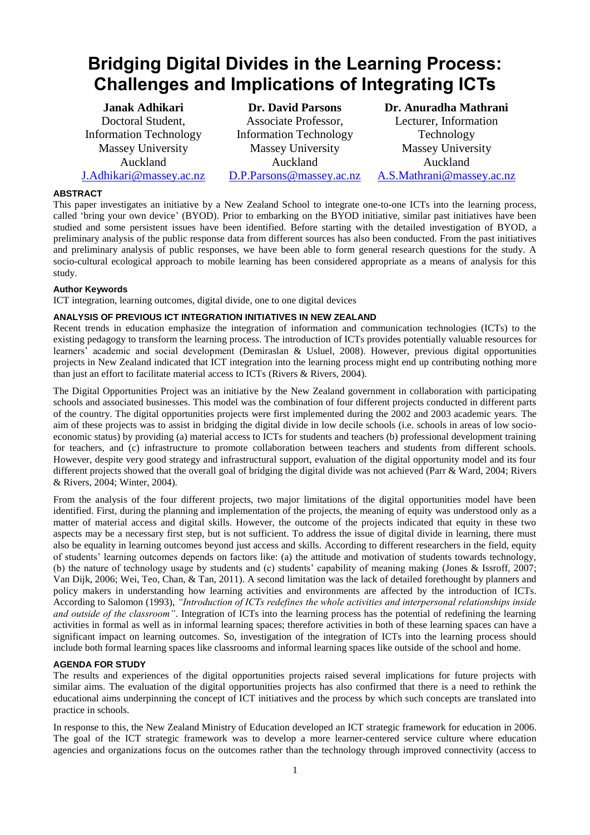# **Bridging Digital Divides in the Learning Process: Challenges and Implications of Integrating ICTs**

**Janak Adhikari** Doctoral Student, Information Technology Massey University Auckland [J.Adhikari@massey.ac.nz](mailto:J.Adhikari@massey.ac.nz)

**Dr. David Parsons** Associate Professor, Information Technology Massey University Auckland [D.P.Parsons@massey.ac.nz](mailto:D.P.Parsons@massey.ac.nz)

**Dr. Anuradha Mathrani**  Lecturer, Information Technology Massey University Auckland [A.S.Mathrani@massey.ac.nz](mailto:A.S.Mathrani@massey.ac.nz)

# **ABSTRACT**

This paper investigates an initiative by a New Zealand School to integrate one-to-one ICTs into the learning process, called 'bring your own device' (BYOD). Prior to embarking on the BYOD initiative, similar past initiatives have been studied and some persistent issues have been identified. Before starting with the detailed investigation of BYOD, a preliminary analysis of the public response data from different sources has also been conducted. From the past initiatives and preliminary analysis of public responses, we have been able to form general research questions for the study. A socio-cultural ecological approach to mobile learning has been considered appropriate as a means of analysis for this study.

## **Author Keywords**

ICT integration, learning outcomes, digital divide, one to one digital devices

## **ANALYSIS OF PREVIOUS ICT INTEGRATION INITIATIVES IN NEW ZEALAND**

Recent trends in education emphasize the integration of information and communication technologies (ICTs) to the existing pedagogy to transform the learning process. The introduction of ICTs provides potentially valuable resources for learners' academic and social development [\(Demiraslan & Usluel, 2008\)](#page-3-0). However, previous digital opportunities projects in New Zealand indicated that ICT integration into the learning process might end up contributing nothing more than just an effort to facilitate material access to ICTs [\(Rivers & Rivers, 2004\)](#page-3-1).

The Digital Opportunities Project was an initiative by the New Zealand government in collaboration with participating schools and associated businesses. This model was the combination of four different projects conducted in different parts of the country. The digital opportunities projects were first implemented during the 2002 and 2003 academic years. The aim of these projects was to assist in bridging the digital divide in low decile schools (i.e. schools in areas of low socioeconomic status) by providing (a) material access to ICTs for students and teachers (b) professional development training for teachers, and (c) infrastructure to promote collaboration between teachers and students from different schools. However, despite very good strategy and infrastructural support, evaluation of the digital opportunity model and its four different projects showed that the overall goal of bridging the digital divide was not achieved [\(Parr & Ward, 2004;](#page-3-2) [Rivers](#page-3-1)  [& Rivers, 2004;](#page-3-1) [Winter, 2004\)](#page-3-3).

From the analysis of the four different projects, two major limitations of the digital opportunities model have been identified. First, during the planning and implementation of the projects, the meaning of equity was understood only as a matter of material access and digital skills. However, the outcome of the projects indicated that equity in these two aspects may be a necessary first step, but is not sufficient. To address the issue of digital divide in learning, there must also be equality in learning outcomes beyond just access and skills. According to different researchers in the field, equity of students' learning outcomes depends on factors like: (a) the attitude and motivation of students towards technology, (b) the nature of technology usage by students and (c) students' capability of meaning making [\(Jones & Issroff, 2007;](#page-3-4) [Van Dijk, 2006;](#page-3-5) [Wei, Teo, Chan, & Tan, 2011\)](#page-3-6). A second limitation was the lack of detailed forethought by planners and policy makers in understanding how learning activities and environments are affected by the introduction of ICTs. According to Salomon [\(1993\)](#page-3-7), *"Introduction of ICTs redefines the whole activities and interpersonal relationships inside and outside of the classroom"*. Integration of ICTs into the learning process has the potential of redefining the learning activities in formal as well as in informal learning spaces; therefore activities in both of these learning spaces can have a significant impact on learning outcomes. So, investigation of the integration of ICTs into the learning process should include both formal learning spaces like classrooms and informal learning spaces like outside of the school and home.

## **AGENDA FOR STUDY**

The results and experiences of the digital opportunities projects raised several implications for future projects with similar aims. The evaluation of the digital opportunities projects has also confirmed that there is a need to rethink the educational aims underpinning the concept of ICT initiatives and the process by which such concepts are translated into practice in schools.

In response to this, the New Zealand Ministry of Education developed an ICT strategic framework for education in 2006. The goal of the ICT strategic framework was to develop a more learner-centered service culture where education agencies and organizations focus on the outcomes rather than the technology through improved connectivity (access to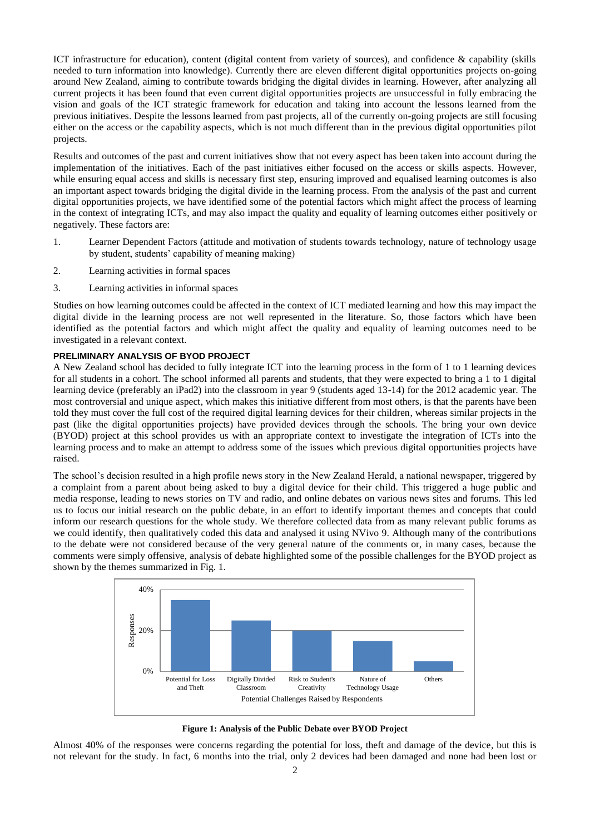ICT infrastructure for education), content (digital content from variety of sources), and confidence & capability (skills needed to turn information into knowledge). Currently there are eleven different digital opportunities projects on-going around New Zealand, aiming to contribute towards bridging the digital divides in learning. However, after analyzing all current projects it has been found that even current digital opportunities projects are unsuccessful in fully embracing the vision and goals of the ICT strategic framework for education and taking into account the lessons learned from the previous initiatives. Despite the lessons learned from past projects, all of the currently on-going projects are still focusing either on the access or the capability aspects, which is not much different than in the previous digital opportunities pilot projects.

Results and outcomes of the past and current initiatives show that not every aspect has been taken into account during the implementation of the initiatives. Each of the past initiatives either focused on the access or skills aspects. However, while ensuring equal access and skills is necessary first step, ensuring improved and equalised learning outcomes is also an important aspect towards bridging the digital divide in the learning process. From the analysis of the past and current digital opportunities projects, we have identified some of the potential factors which might affect the process of learning in the context of integrating ICTs, and may also impact the quality and equality of learning outcomes either positively or negatively. These factors are:

- 1. Learner Dependent Factors (attitude and motivation of students towards technology, nature of technology usage by student, students' capability of meaning making)
- 2. Learning activities in formal spaces
- 3. Learning activities in informal spaces

Studies on how learning outcomes could be affected in the context of ICT mediated learning and how this may impact the digital divide in the learning process are not well represented in the literature. So, those factors which have been identified as the potential factors and which might affect the quality and equality of learning outcomes need to be investigated in a relevant context.

## **PRELIMINARY ANALYSIS OF BYOD PROJECT**

A New Zealand school has decided to fully integrate ICT into the learning process in the form of 1 to 1 learning devices for all students in a cohort. The school informed all parents and students, that they were expected to bring a 1 to 1 digital learning device (preferably an iPad2) into the classroom in year 9 (students aged 13-14) for the 2012 academic year. The most controversial and unique aspect, which makes this initiative different from most others, is that the parents have been told they must cover the full cost of the required digital learning devices for their children, whereas similar projects in the past (like the digital opportunities projects) have provided devices through the schools. The bring your own device (BYOD) project at this school provides us with an appropriate context to investigate the integration of ICTs into the learning process and to make an attempt to address some of the issues which previous digital opportunities projects have raised.

The school's decision resulted in a high profile news story in the New Zealand Herald, a national newspaper, triggered by a complaint from a parent about being asked to buy a digital device for their child. This triggered a huge public and media response, leading to news stories on TV and radio, and online debates on various news sites and forums. This led us to focus our initial research on the public debate, in an effort to identify important themes and concepts that could inform our research questions for the whole study. We therefore collected data from as many relevant public forums as we could identify, then qualitatively coded this data and analysed it using NVivo 9. Although many of the contributions to the debate were not considered because of the very general nature of the comments or, in many cases, because the comments were simply offensive, analysis of debate highlighted some of the possible challenges for the BYOD project as shown by the themes summarized in Fig. 1.



**Figure 1: Analysis of the Public Debate over BYOD Project**

Almost 40% of the responses were concerns regarding the potential for loss, theft and damage of the device, but this is not relevant for the study. In fact, 6 months into the trial, only 2 devices had been damaged and none had been lost or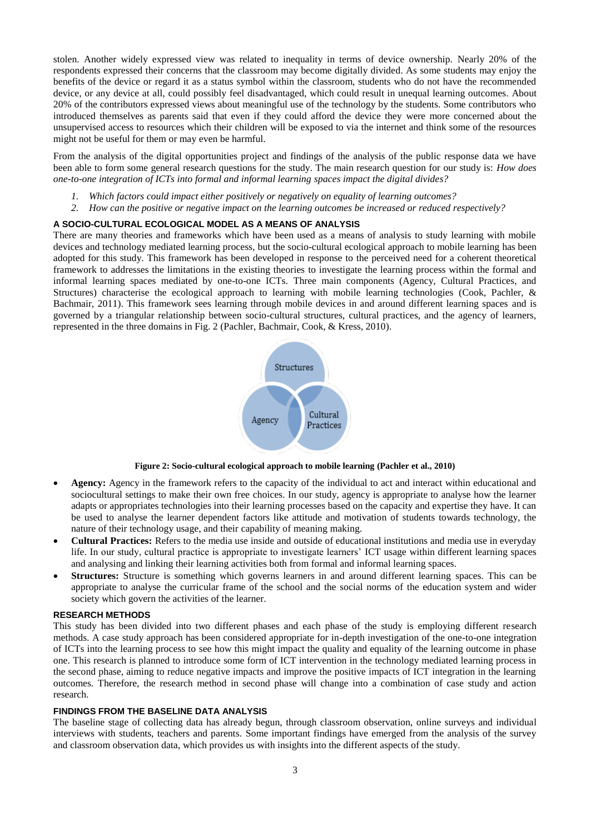stolen. Another widely expressed view was related to inequality in terms of device ownership. Nearly 20% of the respondents expressed their concerns that the classroom may become digitally divided. As some students may enjoy the benefits of the device or regard it as a status symbol within the classroom, students who do not have the recommended device, or any device at all, could possibly feel disadvantaged, which could result in unequal learning outcomes. About 20% of the contributors expressed views about meaningful use of the technology by the students. Some contributors who introduced themselves as parents said that even if they could afford the device they were more concerned about the unsupervised access to resources which their children will be exposed to via the internet and think some of the resources might not be useful for them or may even be harmful.

From the analysis of the digital opportunities project and findings of the analysis of the public response data we have been able to form some general research questions for the study. The main research question for our study is: *How does one-to-one integration of ICTs into formal and informal learning spaces impact the digital divides?*

- *1. Which factors could impact either positively or negatively on equality of learning outcomes?*
- *2. How can the positive or negative impact on the learning outcomes be increased or reduced respectively?*

# **A SOCIO-CULTURAL ECOLOGICAL MODEL AS A MEANS OF ANALYSIS**

There are many theories and frameworks which have been used as a means of analysis to study learning with mobile devices and technology mediated learning process, but the socio-cultural ecological approach to mobile learning has been adopted for this study. This framework has been developed in response to the perceived need for a coherent theoretical framework to addresses the limitations in the existing theories to investigate the learning process within the formal and informal learning spaces mediated by one-to-one ICTs. Three main components (Agency, Cultural Practices, and Structures) characterise the ecological approach to learning with mobile learning technologies [\(Cook, Pachler, &](#page-3-8)  [Bachmair, 2011\)](#page-3-8). This framework sees learning through mobile devices in and around different learning spaces and is governed by a triangular relationship between socio-cultural structures, cultural practices, and the agency of learners, represented in the three domains in Fig. 2 [\(Pachler, Bachmair, Cook, & Kress, 2010\)](#page-3-9).



**Figure 2: Socio-cultural ecological approach to mobile learning [\(Pachler et al., 2010\)](#page-3-9)**

- **Agency:** Agency in the framework refers to the capacity of the individual to act and interact within educational and sociocultural settings to make their own free choices. In our study, agency is appropriate to analyse how the learner adapts or appropriates technologies into their learning processes based on the capacity and expertise they have. It can be used to analyse the learner dependent factors like attitude and motivation of students towards technology, the nature of their technology usage, and their capability of meaning making.
- **Cultural Practices:** Refers to the media use inside and outside of educational institutions and media use in everyday life. In our study, cultural practice is appropriate to investigate learners' ICT usage within different learning spaces and analysing and linking their learning activities both from formal and informal learning spaces.
- **Structures:** Structure is something which governs learners in and around different learning spaces. This can be appropriate to analyse the curricular frame of the school and the social norms of the education system and wider society which govern the activities of the learner.

#### **RESEARCH METHODS**

This study has been divided into two different phases and each phase of the study is employing different research methods. A case study approach has been considered appropriate for in-depth investigation of the one-to-one integration of ICTs into the learning process to see how this might impact the quality and equality of the learning outcome in phase one. This research is planned to introduce some form of ICT intervention in the technology mediated learning process in the second phase, aiming to reduce negative impacts and improve the positive impacts of ICT integration in the learning outcomes. Therefore, the research method in second phase will change into a combination of case study and action research.

#### **FINDINGS FROM THE BASELINE DATA ANALYSIS**

The baseline stage of collecting data has already begun, through classroom observation, online surveys and individual interviews with students, teachers and parents. Some important findings have emerged from the analysis of the survey and classroom observation data, which provides us with insights into the different aspects of the study.